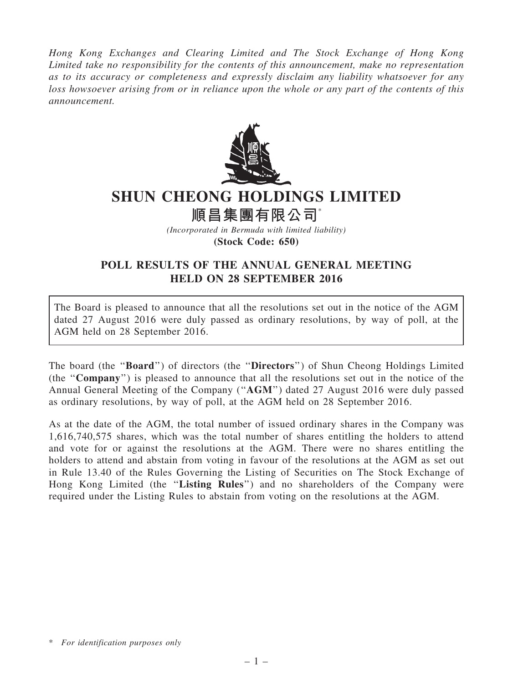Hong Kong Exchanges and Clearing Limited and The Stock Exchange of Hong Kong Limited take no responsibility for the contents of this announcement, make no representation as to its accuracy or completeness and expressly disclaim any liability whatsoever for any loss howsoever arising from or in reliance upon the whole or any part of the contents of this announcement.



## SHUN CHEONG HOLDINGS LIMITED

順昌集團有限公司\*

(Incorporated in Bermuda with limited liability) (Stock Code: 650)

## POLL RESULTS OF THE ANNUAL GENERAL MEETING HELD ON 28 SEPTEMBER 2016

The Board is pleased to announce that all the resolutions set out in the notice of the AGM dated 27 August 2016 were duly passed as ordinary resolutions, by way of poll, at the AGM held on 28 September 2016.

The board (the ''Board'') of directors (the ''Directors'') of Shun Cheong Holdings Limited (the ''Company'') is pleased to announce that all the resolutions set out in the notice of the Annual General Meeting of the Company (''AGM'') dated 27 August 2016 were duly passed as ordinary resolutions, by way of poll, at the AGM held on 28 September 2016.

As at the date of the AGM, the total number of issued ordinary shares in the Company was 1,616,740,575 shares, which was the total number of shares entitling the holders to attend and vote for or against the resolutions at the AGM. There were no shares entitling the holders to attend and abstain from voting in favour of the resolutions at the AGM as set out in Rule 13.40 of the Rules Governing the Listing of Securities on The Stock Exchange of Hong Kong Limited (the "Listing Rules") and no shareholders of the Company were required under the Listing Rules to abstain from voting on the resolutions at the AGM.

<sup>\*</sup> For identification purposes only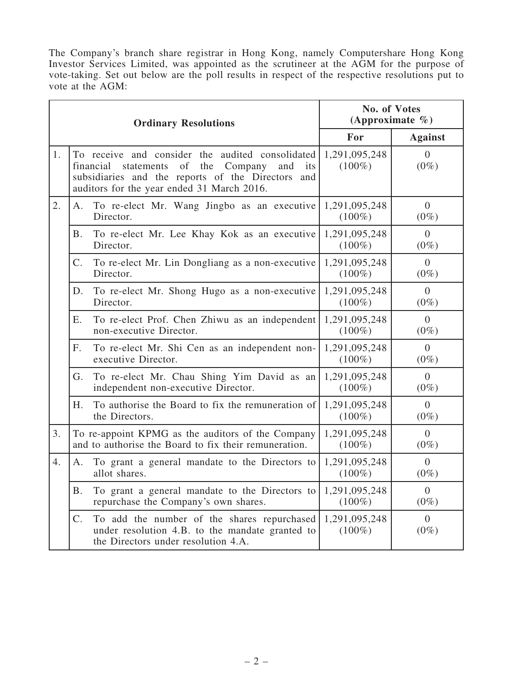The Company's branch share registrar in Hong Kong, namely Computershare Hong Kong Investor Services Limited, was appointed as the scrutineer at the AGM for the purpose of vote-taking. Set out below are the poll results in respect of the respective resolutions put to vote at the AGM:

| <b>Ordinary Resolutions</b> |                                                                                                                                                                                                                         |                                                                                                                                       | No. of Votes<br>(Approximate $\%$ ) |                           |
|-----------------------------|-------------------------------------------------------------------------------------------------------------------------------------------------------------------------------------------------------------------------|---------------------------------------------------------------------------------------------------------------------------------------|-------------------------------------|---------------------------|
|                             |                                                                                                                                                                                                                         |                                                                                                                                       | For                                 | <b>Against</b>            |
| 1.                          | To receive and consider the audited consolidated<br>the<br>financial<br>of<br>Company<br>statements<br>and<br>its<br>subsidiaries and the reports of the Directors<br>and<br>auditors for the year ended 31 March 2016. |                                                                                                                                       | 1,291,095,248<br>$(100\%)$          | $\Omega$<br>$(0\%)$       |
| 2.                          | A.                                                                                                                                                                                                                      | To re-elect Mr. Wang Jingbo as an executive<br>Director.                                                                              | 1,291,095,248<br>$(100\%)$          | $\overline{0}$<br>$(0\%)$ |
|                             | <b>B.</b>                                                                                                                                                                                                               | To re-elect Mr. Lee Khay Kok as an executive<br>Director.                                                                             | 1,291,095,248<br>$(100\%)$          | $\overline{0}$<br>$(0\%)$ |
|                             | $C_{\cdot}$                                                                                                                                                                                                             | To re-elect Mr. Lin Dongliang as a non-executive<br>Director.                                                                         | 1,291,095,248<br>$(100\%)$          | $\theta$<br>$(0\%)$       |
|                             | D.                                                                                                                                                                                                                      | To re-elect Mr. Shong Hugo as a non-executive<br>Director.                                                                            | 1,291,095,248<br>$(100\%)$          | $\Omega$<br>$(0\%)$       |
|                             | Ε.                                                                                                                                                                                                                      | To re-elect Prof. Chen Zhiwu as an independent<br>non-executive Director.                                                             | 1,291,095,248<br>$(100\%)$          | $\overline{0}$<br>$(0\%)$ |
|                             | $F_{\cdot}$                                                                                                                                                                                                             | To re-elect Mr. Shi Cen as an independent non-<br>executive Director.                                                                 | 1,291,095,248<br>$(100\%)$          | $\overline{0}$<br>$(0\%)$ |
|                             | G.                                                                                                                                                                                                                      | To re-elect Mr. Chau Shing Yim David as an<br>independent non-executive Director.                                                     | 1,291,095,248<br>$(100\%)$          | $\theta$<br>$(0\%)$       |
|                             | H.                                                                                                                                                                                                                      | To authorise the Board to fix the remuneration of<br>the Directors.                                                                   | 1,291,095,248<br>$(100\%)$          | $\Omega$<br>$(0\%)$       |
| 3.                          |                                                                                                                                                                                                                         | To re-appoint KPMG as the auditors of the Company<br>and to authorise the Board to fix their remuneration.                            | 1,291,095,248<br>$(100\%)$          | $\Omega$<br>$(0\%)$       |
| 4.                          | A.                                                                                                                                                                                                                      | To grant a general mandate to the Directors to<br>allot shares.                                                                       | 1,291,095,248<br>$(100\%)$          | $\theta$<br>$(0\%)$       |
|                             | Β.                                                                                                                                                                                                                      | To grant a general mandate to the Directors to<br>repurchase the Company's own shares.                                                | 1,291,095,248<br>$(100\%)$          | $\theta$<br>$(0\%)$       |
|                             | $C_{\cdot}$                                                                                                                                                                                                             | To add the number of the shares repurchased<br>under resolution 4.B. to the mandate granted to<br>the Directors under resolution 4.A. | 1,291,095,248<br>$(100\%)$          | $\overline{0}$<br>$(0\%)$ |